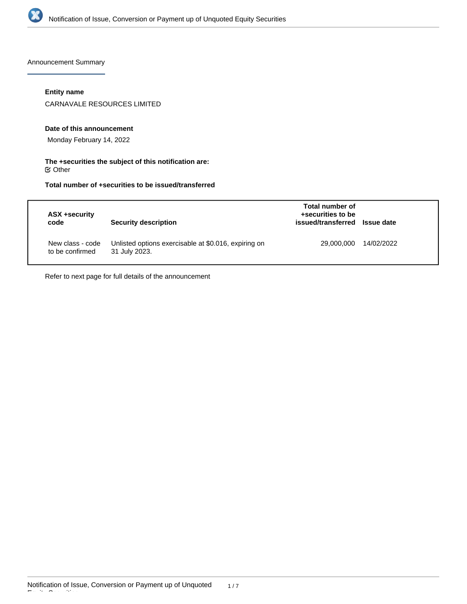

Announcement Summary

## **Entity name**

CARNAVALE RESOURCES LIMITED

#### **Date of this announcement**

Monday February 14, 2022

### **The +securities the subject of this notification are:**  $\mathfrak S$  Other

## **Total number of +securities to be issued/transferred**

| ASX +security<br>code               | Security description                                                  | Total number of<br>+securities to be<br>issued/transferred | <b>Issue date</b> |
|-------------------------------------|-----------------------------------------------------------------------|------------------------------------------------------------|-------------------|
| New class - code<br>to be confirmed | Unlisted options exercisable at \$0.016, expiring on<br>31 July 2023. | 29,000,000                                                 | 14/02/2022        |

Refer to next page for full details of the announcement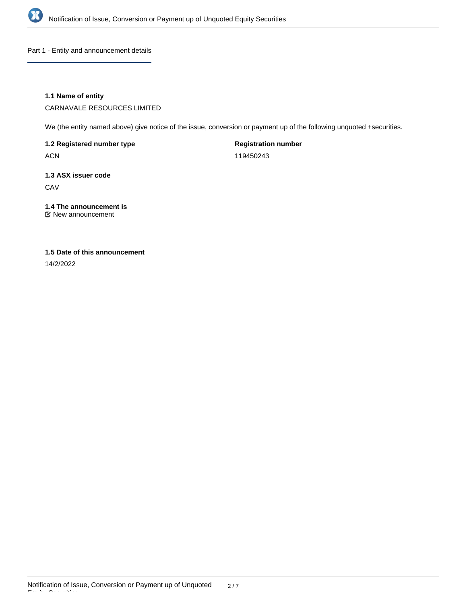

Part 1 - Entity and announcement details

## **1.1 Name of entity**

CARNAVALE RESOURCES LIMITED

We (the entity named above) give notice of the issue, conversion or payment up of the following unquoted +securities.

**1.2 Registered number type**

ACN

**Registration number**

119450243

# **1.3 ASX issuer code**

**CAV** 

## **1.4 The announcement is**

New announcement

## **1.5 Date of this announcement**

14/2/2022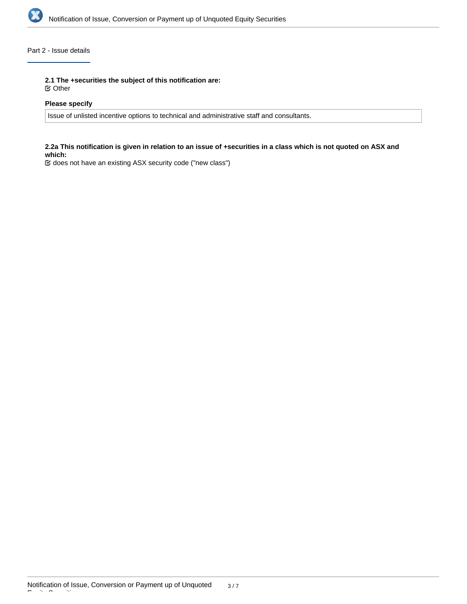

## Part 2 - Issue details

**2.1 The +securities the subject of this notification are:**

Other

## **Please specify**

Issue of unlisted incentive options to technical and administrative staff and consultants.

#### **2.2a This notification is given in relation to an issue of +securities in a class which is not quoted on ASX and which:**

does not have an existing ASX security code ("new class")

Equity Securities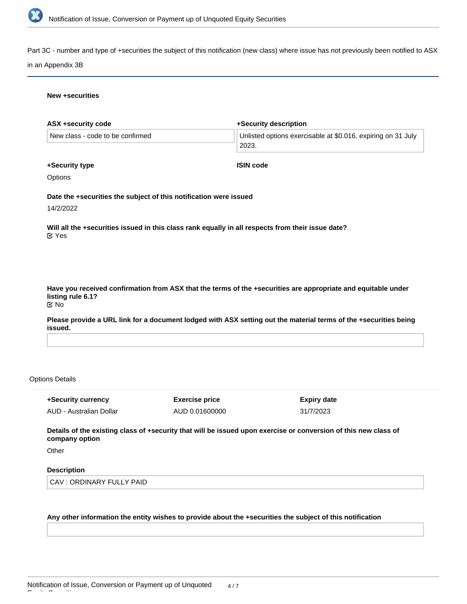

Part 3C - number and type of +securities the subject of this notification (new class) where issue has not previously been notified to ASX

#### in an Appendix 3B

#### **New +securities**

| ASX +security code                                                | +Security description                                                                                         |
|-------------------------------------------------------------------|---------------------------------------------------------------------------------------------------------------|
| New class - code to be confirmed                                  | Unlisted options exercisable at \$0.016, expiring on 31 July<br>2023.                                         |
| +Security type                                                    | <b>ISIN code</b>                                                                                              |
| <b>Options</b>                                                    |                                                                                                               |
| Date the +securities the subject of this notification were issued |                                                                                                               |
| 14/2/2022                                                         |                                                                                                               |
| $\mathfrak{C}$ Yes                                                | Will all the +securities issued in this class rank equally in all respects from their issue date?             |
|                                                                   |                                                                                                               |
|                                                                   |                                                                                                               |
| listing rule 6.1?<br><b>MO</b>                                    | Have you received confirmation from ASX that the terms of the +securities are appropriate and equitable under |

**Please provide a URL link for a document lodged with ASX setting out the material terms of the +securities being issued.**

#### Options Details

**+Security currency** AUD - Australian Dollar **Exercise price** AUD 0.01600000 **Expiry date** 31/7/2023

**Details of the existing class of +security that will be issued upon exercise or conversion of this new class of company option**

**Other** 

Equity Securities

## **Description**

CAV : ORDINARY FULLY PAID

#### **Any other information the entity wishes to provide about the +securities the subject of this notification**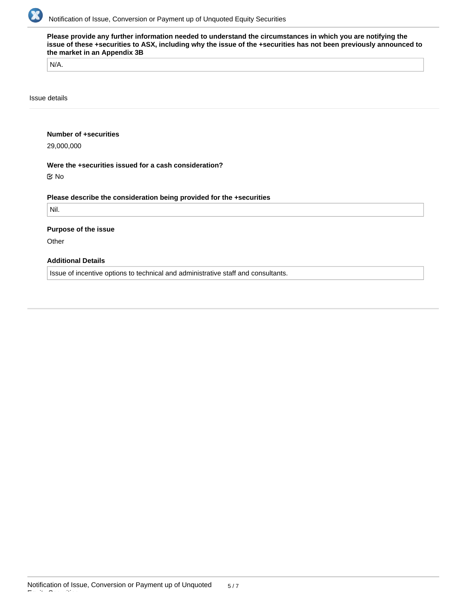

**Please provide any further information needed to understand the circumstances in which you are notifying the issue of these +securities to ASX, including why the issue of the +securities has not been previously announced to the market in an Appendix 3B**

N/A.

Issue details

#### **Number of +securities**

29,000,000

#### **Were the +securities issued for a cash consideration?**

No

## **Please describe the consideration being provided for the +securities**

Nil.

#### **Purpose of the issue**

**Other** 

Equity Securities

## **Additional Details**

Issue of incentive options to technical and administrative staff and consultants.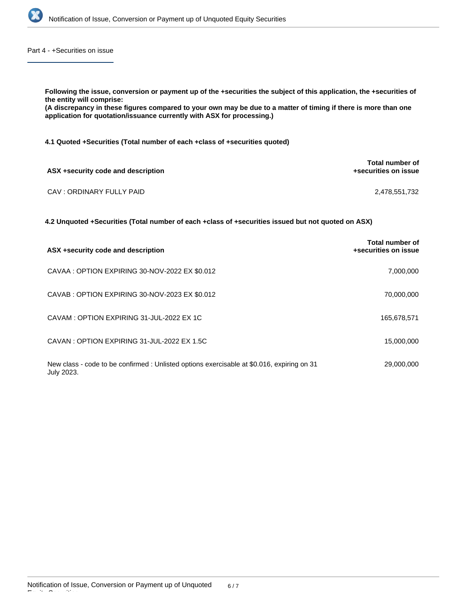

Part 4 - +Securities on issue

**Following the issue, conversion or payment up of the +securities the subject of this application, the +securities of the entity will comprise: (A discrepancy in these figures compared to your own may be due to a matter of timing if there is more than one application for quotation/issuance currently with ASX for processing.) 4.1 Quoted +Securities (Total number of each +class of +securities quoted) ASX +security code and description Total number of +securities on issue** CAV : ORDINARY FULLY PAID 2,478,551,732

**4.2 Unquoted +Securities (Total number of each +class of +securities issued but not quoted on ASX)**

| ASX +security code and description                                                                       | Total number of<br>+securities on issue |
|----------------------------------------------------------------------------------------------------------|-----------------------------------------|
| CAVAA : OPTION EXPIRING 30-NOV-2022 EX \$0.012                                                           | 7,000,000                               |
| CAVAB: OPTION EXPIRING 30-NOV-2023 EX \$0.012                                                            | 70,000,000                              |
| CAVAM: OPTION EXPIRING 31-JUL-2022 EX 1C                                                                 | 165,678,571                             |
| CAVAN: OPTION EXPIRING 31-JUL-2022 EX 1.5C                                                               | 15,000,000                              |
| New class - code to be confirmed : Unlisted options exercisable at \$0.016, expiring on 31<br>July 2023. | 29,000,000                              |

Equity Securities